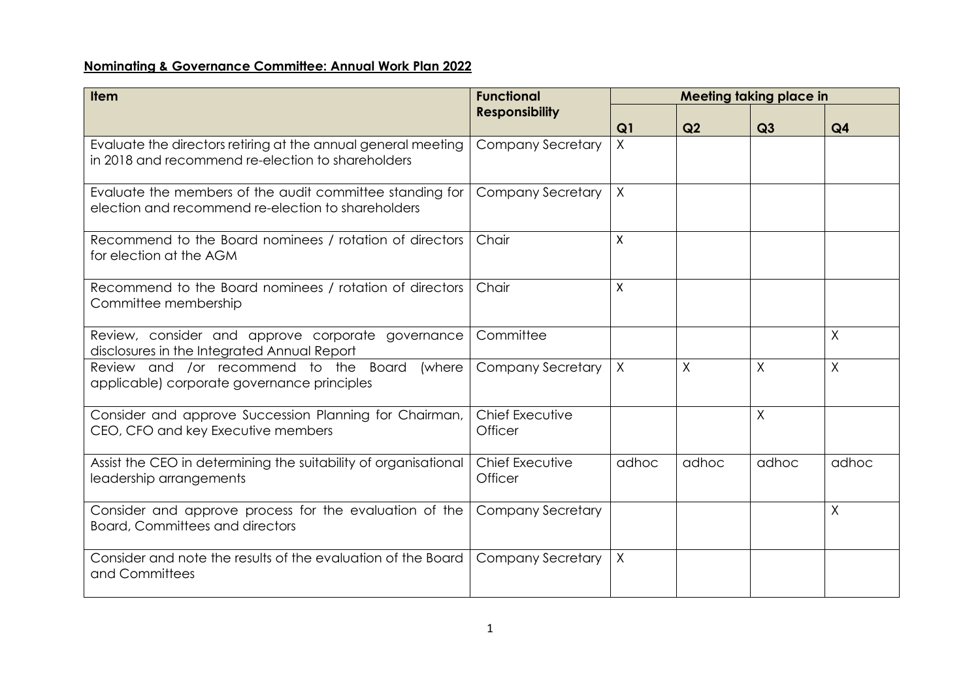## **Nominating & Governance Committee: Annual Work Plan 2022**

| <b>Item</b>                                                                                                        | <b>Functional</b><br><b>Responsibility</b> | <b>Meeting taking place in</b> |       |          |                |  |
|--------------------------------------------------------------------------------------------------------------------|--------------------------------------------|--------------------------------|-------|----------|----------------|--|
|                                                                                                                    |                                            | Q <sub>1</sub>                 | Q2    | Q3       | Q <sub>4</sub> |  |
| Evaluate the directors retiring at the annual general meeting<br>in 2018 and recommend re-election to shareholders | <b>Company Secretary</b>                   | $\sf X$                        |       |          |                |  |
| Evaluate the members of the audit committee standing for<br>election and recommend re-election to shareholders     | Company Secretary                          | $\sf X$                        |       |          |                |  |
| Recommend to the Board nominees / rotation of directors<br>for election at the AGM                                 | Chair                                      | X                              |       |          |                |  |
| Recommend to the Board nominees / rotation of directors<br>Committee membership                                    | Chair                                      | $\mathsf{x}$                   |       |          |                |  |
| Review, consider and approve corporate governance<br>disclosures in the Integrated Annual Report                   | Committee                                  |                                |       |          | X              |  |
| Review and /or recommend to the Board<br>(where<br>applicable) corporate governance principles                     | Company Secretary                          | $\chi$                         | χ     | $\times$ | X              |  |
| Consider and approve Succession Planning for Chairman,<br>CEO, CFO and key Executive members                       | Chief Executive<br>Officer                 |                                |       | $\times$ |                |  |
| Assist the CEO in determining the suitability of organisational<br>leadership arrangements                         | Chief Executive<br>Officer                 | adhoc                          | adhoc | adhoc    | adhoc          |  |
| Consider and approve process for the evaluation of the<br><b>Board, Committees and directors</b>                   | <b>Company Secretary</b>                   |                                |       |          | $\sf X$        |  |
| Consider and note the results of the evaluation of the Board<br>and Committees                                     | Company Secretary                          | $\chi$                         |       |          |                |  |